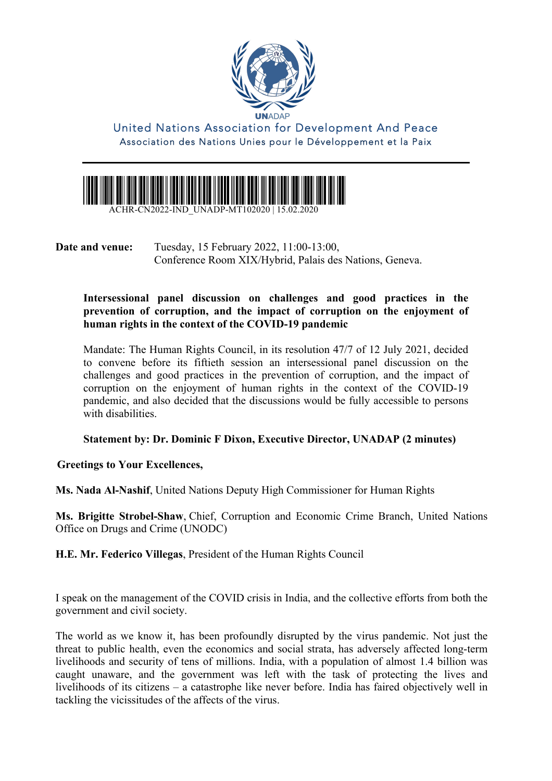

United Nations Association for Development And Peace Association des Nations Unies pour le Développement et la Paix



ACHR-CN2022-IND\_UNADP-MT102020 | 15.02.2020

**Date and venue:** Tuesday, 15 February 2022, 11:00-13:00, Conference Room XIX/Hybrid, Palais des Nations, Geneva.

**Intersessional panel discussion on challenges and good practices in the prevention of corruption, and the impact of corruption on the enjoyment of human rights in the context of the COVID-19 pandemic**

Mandate: The Human Rights Council, in its resolution 47/7 of 12 July 2021, decided to convene before its fiftieth session an intersessional panel discussion on the challenges and good practices in the prevention of corruption, and the impact of corruption on the enjoyment of human rights in the context of the COVID-19 pandemic, and also decided that the discussions would be fully accessible to persons with disabilities.

#### **Statement by: Dr. Dominic F Dixon, Executive Director, UNADAP (2 minutes)**

**Greetings to Your Excellences,** 

**Ms. Nada Al-Nashif**, United Nations Deputy High Commissioner for Human Rights

**Ms. Brigitte Strobel-Shaw**, Chief, Corruption and Economic Crime Branch, United Nations Office on Drugs and Crime (UNODC)

**H.E. Mr. Federico Villegas**, President of the Human Rights Council

I speak on the management of the COVID crisis in India, and the collective efforts from both the government and civil society.

The world as we know it, has been profoundly disrupted by the virus pandemic. Not just the threat to public health, even the economics and social strata, has adversely affected long-term livelihoods and security of tens of millions. India, with a population of almost 1.4 billion was caught unaware, and the government was left with the task of protecting the lives and livelihoods of its citizens – a catastrophe like never before. India has faired objectively well in tackling the vicissitudes of the affects of the virus.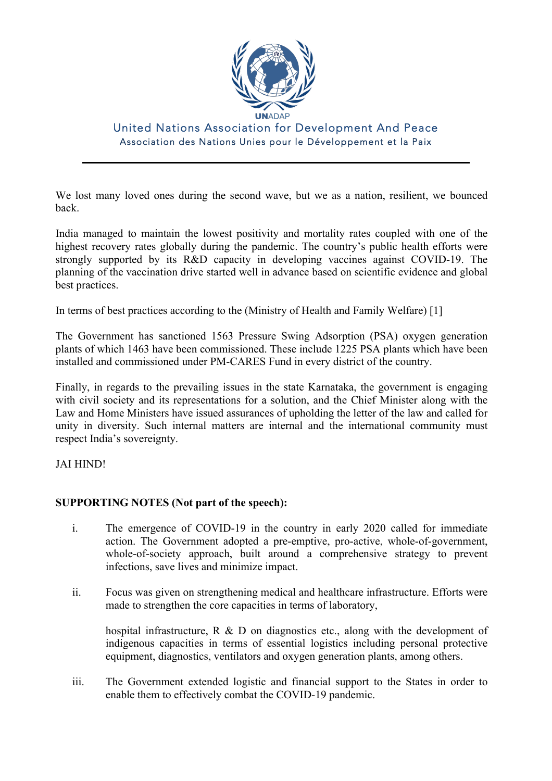

# United Nations Association for Development And Peace Association des Nations Unies pour le Développement et la Paix

We lost many loved ones during the second wave, but we as a nation, resilient, we bounced back.

India managed to maintain the lowest positivity and mortality rates coupled with one of the highest recovery rates globally during the pandemic. The country's public health efforts were strongly supported by its R&D capacity in developing vaccines against COVID-19. The planning of the vaccination drive started well in advance based on scientific evidence and global best practices.

In terms of best practices according to the (Ministry of Health and Family Welfare) [1]

The Government has sanctioned 1563 Pressure Swing Adsorption (PSA) oxygen generation plants of which 1463 have been commissioned. These include 1225 PSA plants which have been installed and commissioned under PM-CARES Fund in every district of the country.

Finally, in regards to the prevailing issues in the state Karnataka, the government is engaging with civil society and its representations for a solution, and the Chief Minister along with the Law and Home Ministers have issued assurances of upholding the letter of the law and called for unity in diversity. Such internal matters are internal and the international community must respect India's sovereignty.

#### JAI HIND!

### **SUPPORTING NOTES (Not part of the speech):**

- i. The emergence of COVID-19 in the country in early 2020 called for immediate action. The Government adopted a pre-emptive, pro-active, whole-of-government, whole-of-society approach, built around a comprehensive strategy to prevent infections, save lives and minimize impact.
- ii. Focus was given on strengthening medical and healthcare infrastructure. Efforts were made to strengthen the core capacities in terms of laboratory,

hospital infrastructure, R & D on diagnostics etc., along with the development of indigenous capacities in terms of essential logistics including personal protective equipment, diagnostics, ventilators and oxygen generation plants, among others.

iii. The Government extended logistic and financial support to the States in order to enable them to effectively combat the COVID-19 pandemic.